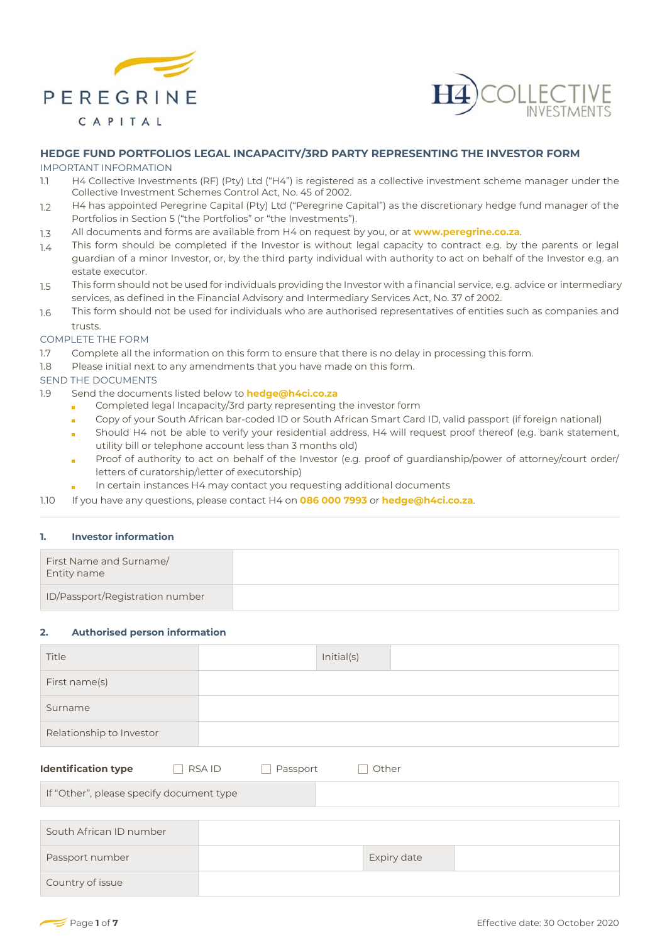



# **HEDGE FUND PORTFOLIOS LEGAL INCAPACITY/3RD PARTY REPRESENTING THE INVESTOR FORM**

#### IMPORTANT INFORMATION

- 1.1 H4 Collective Investments (RF) (Pty) Ltd ("H4") is registered as a collective investment scheme manager under the Collective Investment Schemes Control Act, No. 45 of 2002.
- 1.2 H4 has appointed Peregrine Capital (Pty) Ltd ("Peregrine Capital") as the discretionary hedge fund manager of the Portfolios in Section 5 ("the Portfolios" or "the Investments").
- 1.3 All documents and forms are available from H4 on request by you, or at **www.peregrine.co.za**.
- 1.4 This form should be completed if the Investor is without legal capacity to contract e.g. by the parents or legal guardian of a minor Investor, or, by the third party individual with authority to act on behalf of the Investor e.g. an estate executor.
- 1.5 This form should not be used for individuals providing the Investor with a financial service, e.g. advice or intermediary services, as defined in the Financial Advisory and Intermediary Services Act, No. 37 of 2002.
- 1.6 This form should not be used for individuals who are authorised representatives of entities such as companies and trusts.

#### COMPLETE THE FORM

- 1.7 Complete all the information on this form to ensure that there is no delay in processing this form.
- 1.8 Please initial next to any amendments that you have made on this form.

## SEND THE DOCUMENTS

- 1.9 Send the documents listed below to **hedge@h4ci.co.za**
	- Completed legal Incapacity/3rd party representing the investor form  $\blacksquare$
	- Copy of your South African bar-coded ID or South African Smart Card ID, valid passport (if foreign national) í.
	- Should H4 not be able to verify your residential address, H4 will request proof thereof (e.g. bank statement, utility bill or telephone account less than 3 months old)
	- Proof of authority to act on behalf of the Investor (e.g. proof of guardianship/power of attorney/court order/ letters of curatorship/letter of executorship)
	- In certain instances H4 may contact you requesting additional documents
- 1.10 If you have any questions, please contact H4 on **086 000 7993** or **hedge@h4ci.co.za**.

#### **1. Investor information**

| First Name and Surname/<br>Entity name |  |
|----------------------------------------|--|
| ID/Passport/Registration number        |  |

#### **2. Authorised person information**

| Title                                    |                    | Initial(s) |  |
|------------------------------------------|--------------------|------------|--|
| First name(s)                            |                    |            |  |
| Surname                                  |                    |            |  |
| Relationship to Investor                 |                    |            |  |
| <b>Identification type</b>               | RSA ID<br>Passport | Other      |  |
| If "Other", please specify document type |                    |            |  |
|                                          |                    |            |  |
| South African ID number                  |                    |            |  |

| South African ID number |             |  |
|-------------------------|-------------|--|
| Passport number         | Expiry date |  |
| Country of issue        |             |  |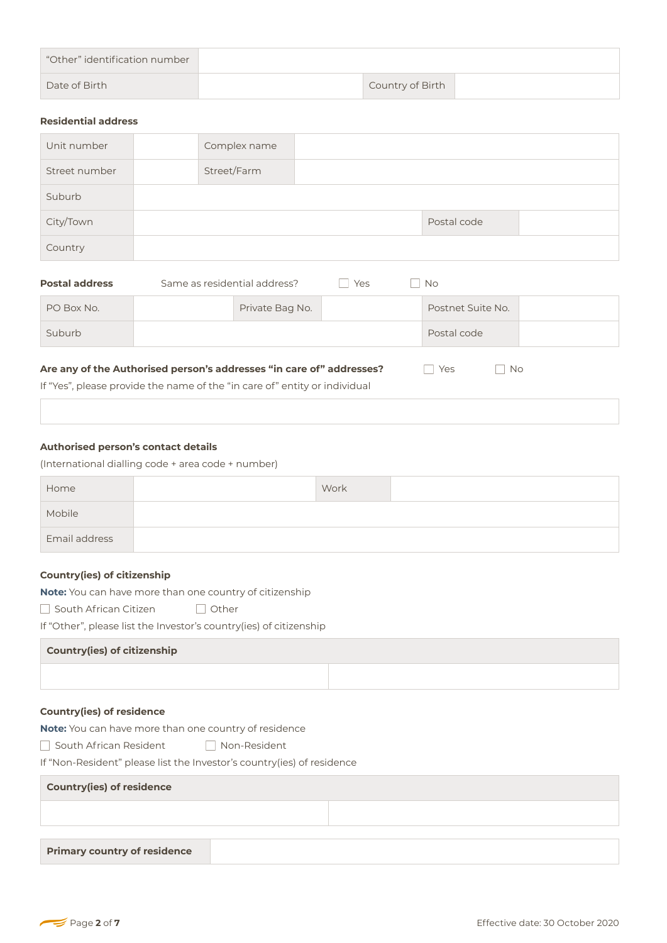| "Other" identification number |                  |  |
|-------------------------------|------------------|--|
| Date of Birth                 | Country of Birth |  |
|                               |                  |  |

#### **Residential address**

| Unit number   | Complex name |             |  |
|---------------|--------------|-------------|--|
| Street number | Street/Farm  |             |  |
| Suburb        |              |             |  |
| City/Town     |              | Postal code |  |
| Country       |              |             |  |

| <b>Postal address</b> | Same as residential address? | Yes | <b>No</b>         |  |
|-----------------------|------------------------------|-----|-------------------|--|
| PO Box No.            | Private Bag No.              |     | Postnet Suite No. |  |
| Suburb                |                              |     | Postal code       |  |
|                       |                              |     |                   |  |

# Are any of the Authorised person's addresses "in care of" addresses? <br>
No

If "Yes", please provide the name of the "in care of" entity or individual

## **Authorised person's contact details**

(International dialling code + area code + number)

| Home          | Work |  |
|---------------|------|--|
| Mobile        |      |  |
| Email address |      |  |

#### **Country(ies) of citizenship**

**Note:** You can have more than one country of citizenship

□ South African Citizen **□ Other** 

If "Other", please list the Investor's country(ies) of citizenship

#### **Country(ies) of citizenship**

## **Country(ies) of residence**

**Note:** You can have more than one country of residence

South African ResidentNon-Resident

If "Non-Resident" please list the Investor's country(ies) of residence

## **Country(ies) of residence**

**Primary country of residence**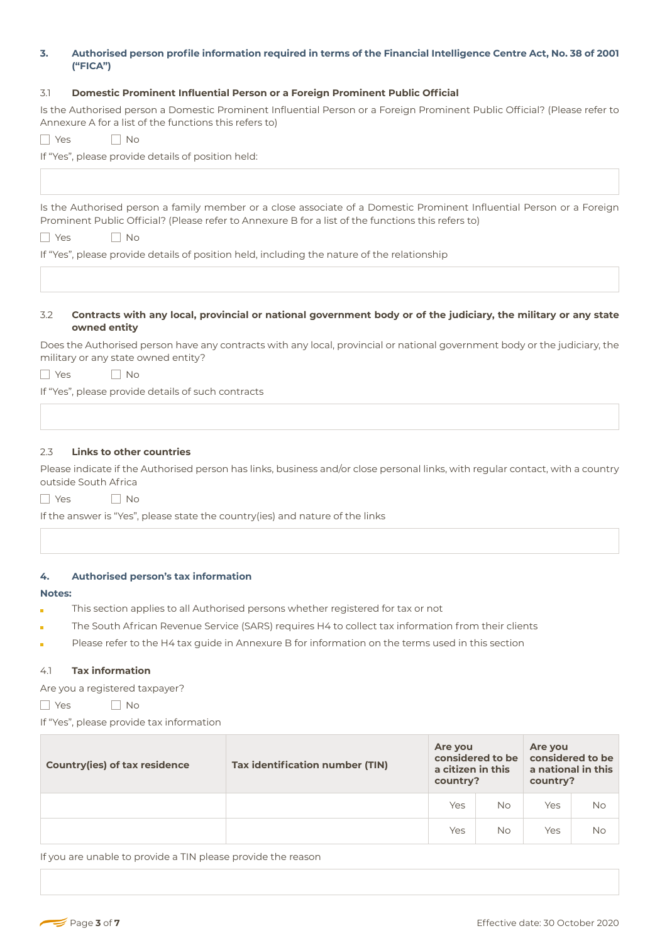# **3. Authorised person profile information required in terms of the Financial Intelligence Centre Act, No. 38 of 2001 ("FICA")**

## 3.1 **Domestic Prominent Influential Person or a Foreign Prominent Public Official**

Is the Authorised person a Domestic Prominent Influential Person or a Foreign Prominent Public Official? (Please refer to Annexure A for a list of the functions this refers to)

YesNo

If "Yes", please provide details of position held:

Is the Authorised person a family member or a close associate of a Domestic Prominent Influential Person or a Foreign Prominent Public Official? (Please refer to Annexure B for a list of the functions this refers to)

| <b>Vec</b> | Nο |
|------------|----|
|------------|----|

If "Yes", please provide details of position held, including the nature of the relationship

#### 3.2 **Contracts with any local, provincial or national government body or of the judiciary, the military or any state owned entity**

Does the Authorised person have any contracts with any local, provincial or national government body or the judiciary, the military or any state owned entity?

YesNo

If "Yes", please provide details of such contracts

#### 2.3 **Links to other countries**

Please indicate if the Authorised person has links, business and/or close personal links, with regular contact, with a country outside South Africa

YesNo

If the answer is "Yes", please state the country(ies) and nature of the links

#### **4. Authorised person's tax information**

#### **Notes:**

- This section applies to all Authorised persons whether registered for tax or not
- The South African Revenue Service (SARS) requires H4 to collect tax information from their clients
- Please refer to the H4 tax guide in Annexure B for information on the terms used in this section

#### 4.1 **Tax information**

Are you a registered taxpayer?

YesNo

If "Yes", please provide tax information

| <b>Country(ies) of tax residence</b> | Tax identification number (TIN) | Are you<br>a citizen in this<br>country? | considered to be | Are you<br>considered to be<br>a national in this<br>country? |           |
|--------------------------------------|---------------------------------|------------------------------------------|------------------|---------------------------------------------------------------|-----------|
|                                      |                                 | Yes                                      | <b>No</b>        | Yes                                                           | No        |
|                                      |                                 | Yes                                      | <b>No</b>        | Yes                                                           | <b>No</b> |

If you are unable to provide a TIN please provide the reason

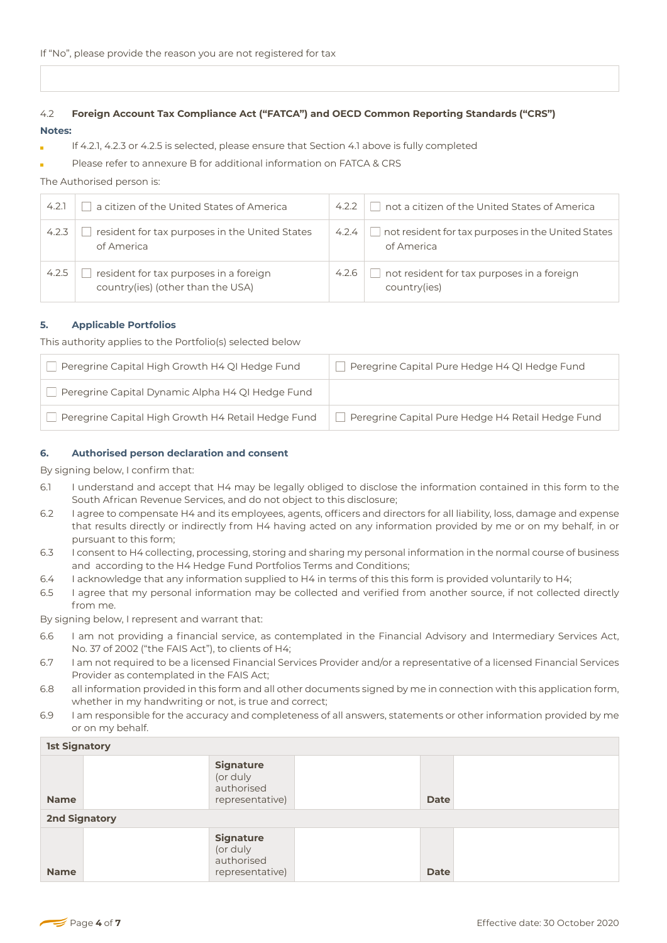# 4.2 **Foreign Account Tax Compliance Act ("FATCA") and OECD Common Reporting Standards ("CRS") Notes:**

- If 4.2.1, 4.2.3 or 4.2.5 is selected, please ensure that Section 4.1 above is fully completed
- Please refer to annexure B for additional information on FATCA & CRS

## The Authorised person is:

| 4.2.1 | a citizen of the United States of America                                   | 4.2.2 | not a citizen of the United States of America                           |
|-------|-----------------------------------------------------------------------------|-------|-------------------------------------------------------------------------|
| 4.2.3 | resident for tax purposes in the United States<br>of America                | 4.2.4 | $\Box$ not resident for tax purposes in the United States<br>of America |
| 4.2.5 | resident for tax purposes in a foreign<br>country(ies) (other than the USA) | 4.2.6 | not resident for tax purposes in a foreign<br>country(ies)              |

## **5. Applicable Portfolios**

This authority applies to the Portfolio(s) selected below

| Peregrine Capital High Growth H4 QI Hedge Fund     | Peregrine Capital Pure Hedge H4 QI Hedge Fund     |
|----------------------------------------------------|---------------------------------------------------|
| Peregrine Capital Dynamic Alpha H4 QI Hedge Fund   |                                                   |
| Peregrine Capital High Growth H4 Retail Hedge Fund | Peregrine Capital Pure Hedge H4 Retail Hedge Fund |

## **6. Authorised person declaration and consent**

By signing below, I confirm that:

- 6.1 I understand and accept that H4 may be legally obliged to disclose the information contained in this form to the South African Revenue Services, and do not object to this disclosure;
- 6.2 I agree to compensate H4 and its employees, agents, officers and directors for all liability, loss, damage and expense that results directly or indirectly from H4 having acted on any information provided by me or on my behalf, in or pursuant to this form;
- 6.3 I consent to H4 collecting, processing, storing and sharing my personal information in the normal course of business and according to the H4 Hedge Fund Portfolios Terms and Conditions;
- 6.4 I acknowledge that any information supplied to H4 in terms of this this form is provided voluntarily to H4;
- 6.5 I agree that my personal information may be collected and verified from another source, if not collected directly from me.

By signing below, I represent and warrant that:

- 6.6 I am not providing a financial service, as contemplated in the Financial Advisory and Intermediary Services Act, No. 37 of 2002 ("the FAIS Act"), to clients of H4;
- 6.7 I am not required to be a licensed Financial Services Provider and/or a representative of a licensed Financial Services Provider as contemplated in the FAIS Act;
- 6.8 all information provided in this form and all other documents signed by me in connection with this application form, whether in my handwriting or not, is true and correct;
- 6.9 I am responsible for the accuracy and completeness of all answers, statements or other information provided by me or on my behalf.

| <b>1st Signatory</b> |                                                               |  |             |  |  |
|----------------------|---------------------------------------------------------------|--|-------------|--|--|
| <b>Name</b>          | <b>Signature</b><br>(or duly<br>authorised<br>representative) |  | <b>Date</b> |  |  |
| <b>2nd Signatory</b> |                                                               |  |             |  |  |
| <b>Name</b>          | <b>Signature</b><br>(or duly<br>authorised<br>representative) |  | <b>Date</b> |  |  |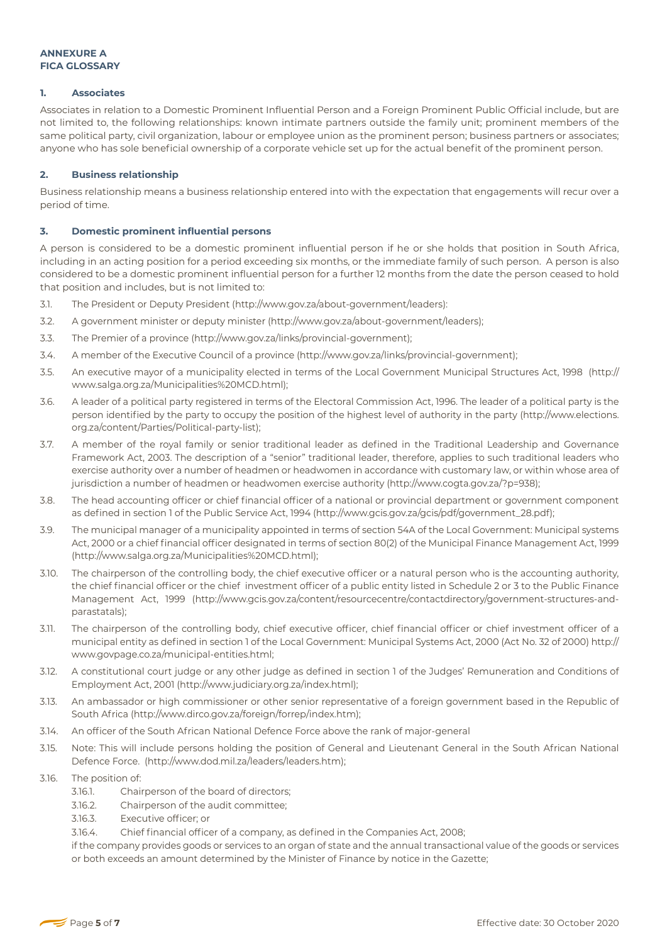#### **1. Associates**

Associates in relation to a Domestic Prominent Influential Person and a Foreign Prominent Public Official include, but are not limited to, the following relationships: known intimate partners outside the family unit; prominent members of the same political party, civil organization, labour or employee union as the prominent person; business partners or associates; anyone who has sole beneficial ownership of a corporate vehicle set up for the actual benefit of the prominent person.

## **2. Business relationship**

Business relationship means a business relationship entered into with the expectation that engagements will recur over a period of time.

## **3. Domestic prominent influential persons**

A person is considered to be a domestic prominent influential person if he or she holds that position in South Africa, including in an acting position for a period exceeding six months, or the immediate family of such person. A person is also considered to be a domestic prominent influential person for a further 12 months from the date the person ceased to hold that position and includes, but is not limited to:

- 3.1. The President or Deputy President (http://www.gov.za/about-government/leaders):
- 3.2. A government minister or deputy minister (http://www.gov.za/about-government/leaders);
- 3.3. The Premier of a province (http://www.gov.za/links/provincial-government);
- 3.4. A member of the Executive Council of a province (http://www.gov.za/links/provincial-government);
- 3.5. An executive mayor of a municipality elected in terms of the Local Government Municipal Structures Act, 1998 (http:// www.salga.org.za/Municipalities%20MCD.html);
- 3.6. A leader of a political party registered in terms of the Electoral Commission Act, 1996. The leader of a political party is the person identified by the party to occupy the position of the highest level of authority in the party (http://www.elections. org.za/content/Parties/Political-party-list);
- 3.7. A member of the royal family or senior traditional leader as defined in the Traditional Leadership and Governance Framework Act, 2003. The description of a "senior" traditional leader, therefore, applies to such traditional leaders who exercise authority over a number of headmen or headwomen in accordance with customary law, or within whose area of jurisdiction a number of headmen or headwomen exercise authority (http://www.cogta.gov.za/?p=938);
- 3.8. The head accounting officer or chief financial officer of a national or provincial department or government component as defined in section 1 of the Public Service Act, 1994 (http://www.gcis.gov.za/gcis/pdf/government\_28.pdf);
- 3.9. The municipal manager of a municipality appointed in terms of section 54A of the Local Government: Municipal systems Act, 2000 or a chief financial officer designated in terms of section 80(2) of the Municipal Finance Management Act, 1999 (http://www.salga.org.za/Municipalities%20MCD.html);
- 3.10. The chairperson of the controlling body, the chief executive officer or a natural person who is the accounting authority, the chief financial officer or the chief investment officer of a public entity listed in Schedule 2 or 3 to the Public Finance Management Act, 1999 (http://www.gcis.gov.za/content/resourcecentre/contactdirectory/government-structures-andparastatals);
- 3.11. The chairperson of the controlling body, chief executive officer, chief financial officer or chief investment officer of a municipal entity as defined in section 1 of the Local Government: Municipal Systems Act, 2000 (Act No. 32 of 2000) http:// www.govpage.co.za/municipal-entities.html;
- 3.12. A constitutional court judge or any other judge as defined in section 1 of the Judges' Remuneration and Conditions of Employment Act, 2001 (http://www.judiciary.org.za/index.html);
- 3.13. An ambassador or high commissioner or other senior representative of a foreign government based in the Republic of South Africa (http://www.dirco.gov.za/foreign/forrep/index.htm);
- 3.14. An officer of the South African National Defence Force above the rank of major-general
- 3.15. Note: This will include persons holding the position of General and Lieutenant General in the South African National Defence Force. (http://www.dod.mil.za/leaders/leaders.htm);
- 3.16. The position of:
	- 3.16.1. Chairperson of the board of directors;
	- 3.16.2. Chairperson of the audit committee;
	- 3.16.3. Executive officer; or
	- 3.16.4. Chief financial officer of a company, as defined in the Companies Act, 2008;

if the company provides goods or services to an organ of state and the annual transactional value of the goods or services or both exceeds an amount determined by the Minister of Finance by notice in the Gazette;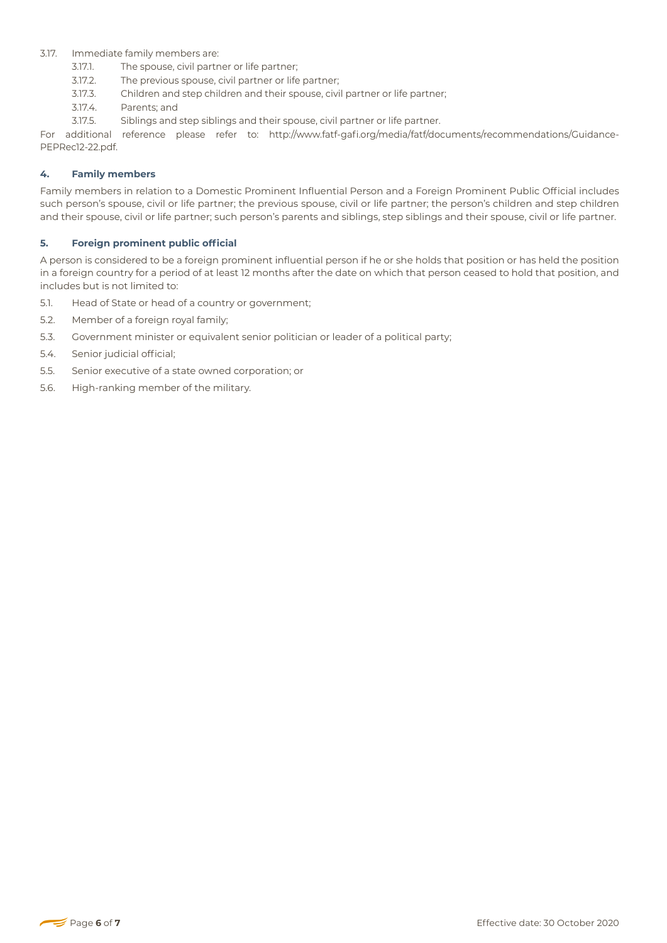## 3.17. Immediate family members are:

- 3.17.1. The spouse, civil partner or life partner;
- 3.17.2. The previous spouse, civil partner or life partner;
- 3.17.3. Children and step children and their spouse, civil partner or life partner;
- 3.17.4. Parents; and
- 3.17.5. Siblings and step siblings and their spouse, civil partner or life partner.

For additional reference please refer to: http://www.fatf-gafi.org/media/fatf/documents/recommendations/Guidance-PEPRec12-22.pdf.

#### **4. Family members**

Family members in relation to a Domestic Prominent Influential Person and a Foreign Prominent Public Official includes such person's spouse, civil or life partner; the previous spouse, civil or life partner; the person's children and step children and their spouse, civil or life partner; such person's parents and siblings, step siblings and their spouse, civil or life partner.

## **5. Foreign prominent public official**

A person is considered to be a foreign prominent influential person if he or she holds that position or has held the position in a foreign country for a period of at least 12 months after the date on which that person ceased to hold that position, and includes but is not limited to:

- 5.1. Head of State or head of a country or government;
- 5.2. Member of a foreign royal family;
- 5.3. Government minister or equivalent senior politician or leader of a political party;
- 5.4. Senior judicial official;
- 5.5. Senior executive of a state owned corporation; or
- 5.6. High-ranking member of the military.